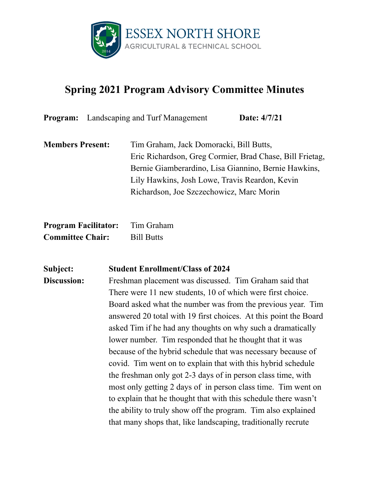

# **Spring 2021 Program Advisory Committee Minutes**

| <b>Program:</b> | Landscaping and Turf Management | Date: 4/7/21 |
|-----------------|---------------------------------|--------------|
|-----------------|---------------------------------|--------------|

**Members Present:** Tim Graham, Jack Domoracki, Bill Butts, Eric Richardson, Greg Cormier, Brad Chase, Bill Frietag, Bernie Giamberardino, Lisa Giannino, Bernie Hawkins, Lily Hawkins, Josh Lowe, Travis Reardon, Kevin Richardson, Joe Szczechowicz, Marc Morin

| <b>Program Facilitator:</b> | Tim Graham        |
|-----------------------------|-------------------|
| <b>Committee Chair:</b>     | <b>Bill Butts</b> |

#### **Subject: Student Enrollment/Class of 2024**

**Discussion:** Freshman placement was discussed. Tim Graham said that There were 11 new students, 10 of which were first choice. Board asked what the number was from the previous year. Tim answered 20 total with 19 first choices. At this point the Board asked Tim if he had any thoughts on why such a dramatically lower number. Tim responded that he thought that it was because of the hybrid schedule that was necessary because of covid. Tim went on to explain that with this hybrid schedule the freshman only got 2-3 days of in person class time, with most only getting 2 days of in person class time. Tim went on to explain that he thought that with this schedule there wasn't the ability to truly show off the program. Tim also explained that many shops that, like landscaping, traditionally recrute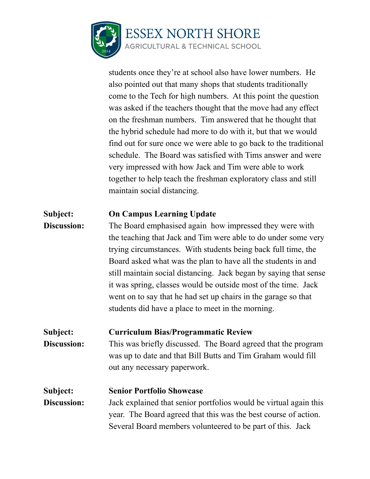

students once they're at school also have lower numbers. He also pointed out that many shops that students traditionally come to the Tech for high numbers. At this point the question was asked if the teachers thought that the move had any effect on the freshman numbers. Tim answered that he thought that the hybrid schedule had more to do with it, but that we would find out for sure once we were able to go back to the traditional schedule. The Board was satisfied with Tims answer and were very impressed with how Jack and Tim were able to work together to help teach the freshman exploratory class and still maintain social distancing.

### **Subject: On Campus Learning Update**

**Discussion:** The Board emphasised again how impressed they were with the teaching that Jack and Tim were able to do under some very trying circumstances. With students being back full time, the Board asked what was the plan to have all the students in and still maintain social distancing. Jack began by saying that sense it was spring, classes would be outside most of the time. Jack went on to say that he had set up chairs in the garage so that students did have a place to meet in the morning.

### **Subject: Curriculum Bias/Programmatic Review Discussion:** This was briefly discussed. The Board agreed that the program was up to date and that Bill Butts and Tim Graham would fill out any necessary paperwork.

## **Subject: Senior Portfolio Showcase Discussion:** Jack explained that senior portfolios would be virtual again this year. The Board agreed that this was the best course of action. Several Board members volunteered to be part of this. Jack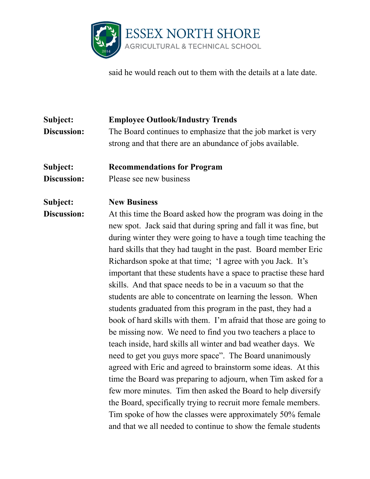

said he would reach out to them with the details at a late date.

**Subject: Employee Outlook/Industry Trends Discussion:** The Board continues to emphasize that the job market is very strong and that there are an abundance of jobs available.

**Subject: Recommendations for Program**

**Discussion:** Please see new business

#### **Subject: New Business**

**Discussion:** At this time the Board asked how the program was doing in the new spot. Jack said that during spring and fall it was fine, but during winter they were going to have a tough time teaching the hard skills that they had taught in the past. Board member Eric Richardson spoke at that time; 'I agree with you Jack. It's important that these students have a space to practise these hard skills. And that space needs to be in a vacuum so that the students are able to concentrate on learning the lesson. When students graduated from this program in the past, they had a book of hard skills with them. I'm afraid that those are going to be missing now. We need to find you two teachers a place to teach inside, hard skills all winter and bad weather days. We need to get you guys more space". The Board unanimously agreed with Eric and agreed to brainstorm some ideas. At this time the Board was preparing to adjourn, when Tim asked for a few more minutes. Tim then asked the Board to help diversify the Board, specifically trying to recruit more female members. Tim spoke of how the classes were approximately 50% female and that we all needed to continue to show the female students